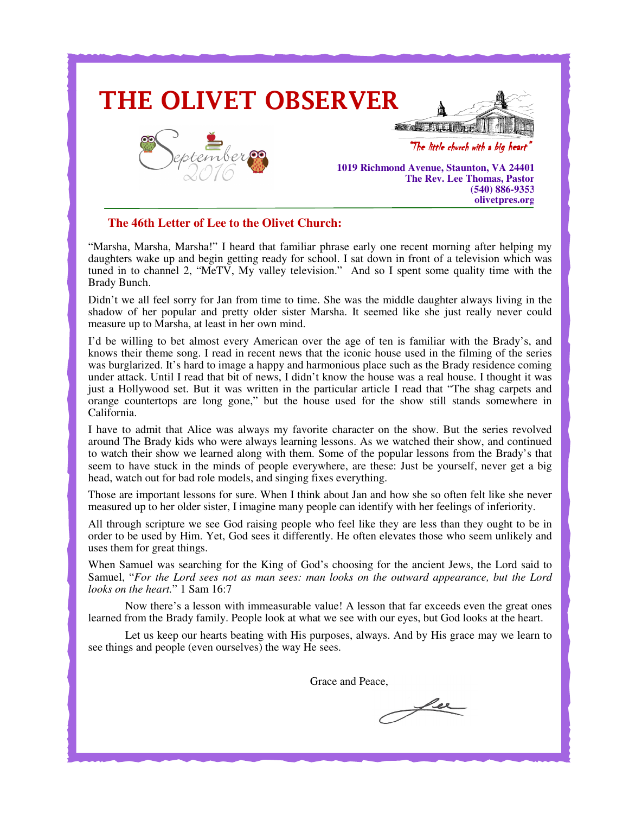

## **The 46th Letter of Lee to the Olivet Church:**

"Marsha, Marsha, Marsha!" I heard that familiar phrase early one recent morning after helping my daughters wake up and begin getting ready for school. I sat down in front of a television which was tuned in to channel 2, "MeTV, My valley television." And so I spent some quality time with the Brady Bunch.

Didn't we all feel sorry for Jan from time to time. She was the middle daughter always living in the shadow of her popular and pretty older sister Marsha. It seemed like she just really never could measure up to Marsha, at least in her own mind.

I'd be willing to bet almost every American over the age of ten is familiar with the Brady's, and knows their theme song. I read in recent news that the iconic house used in the filming of the series was burglarized. It's hard to image a happy and harmonious place such as the Brady residence coming under attack. Until I read that bit of news, I didn't know the house was a real house. I thought it was just a Hollywood set. But it was written in the particular article I read that "The shag carpets and orange countertops are long gone," but the house used for the show still stands somewhere in California.

I have to admit that Alice was always my favorite character on the show. But the series revolved around The Brady kids who were always learning lessons. As we watched their show, and continued to watch their show we learned along with them. Some of the popular lessons from the Brady's that seem to have stuck in the minds of people everywhere, are these: Just be yourself, never get a big head, watch out for bad role models, and singing fixes everything.

Those are important lessons for sure. When I think about Jan and how she so often felt like she never measured up to her older sister, I imagine many people can identify with her feelings of inferiority.

All through scripture we see God raising people who feel like they are less than they ought to be in order to be used by Him. Yet, God sees it differently. He often elevates those who seem unlikely and uses them for great things.

When Samuel was searching for the King of God's choosing for the ancient Jews, the Lord said to Samuel, "*For the Lord sees not as man sees: man looks on the outward appearance, but the Lord looks on the heart.*" 1 Sam 16:7

 Now there's a lesson with immeasurable value! A lesson that far exceeds even the great ones learned from the Brady family. People look at what we see with our eyes, but God looks at the heart.

 Let us keep our hearts beating with His purposes, always. And by His grace may we learn to see things and people (even ourselves) the way He sees.

Grace and Peace,

fer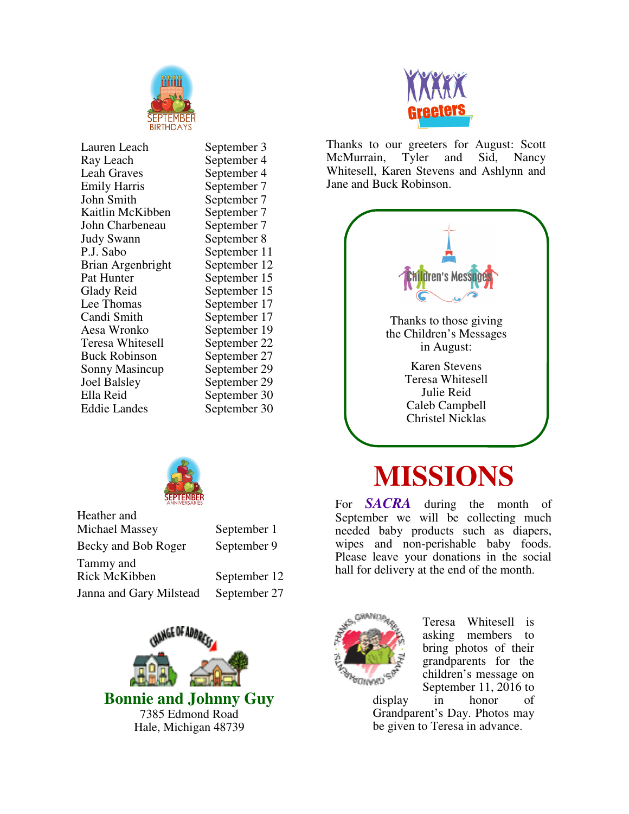

Lauren Leach September 3<br>Ray Leach September 4 Leah Graves September 4 Emily Harris September 7<br>
John Smith September 7 Kaitlin McKibben September 7<br>John Charbeneau September 7 John Charbeneau Judy Swann September 8 P.J. Sabo September 11 Brian Argenbright September 12 Pat Hunter September 15 Glady Reid September 15<br>
Lee Thomas September 17 Lee Thomas<br>
Candi Smith<br>
September 17 Candi Smith<br>
Aesa Wronko<br>
September 19 Teresa Whitesell<br>Buck Robinson Sonny Masincup<br>Joel Balsley Joel Balsley September 29<br>Ella Reid September 30 Ella Reid September 30<br>Eddie Landes September 30

September 4 September 7 September 19<br>September 22 September 27<br>September 29 September 30



| Heather and             |              |
|-------------------------|--------------|
| Michael Massey          | September 1  |
| Becky and Bob Roger     | September 9  |
| Tammy and               |              |
| <b>Rick McKibben</b>    | September 12 |
| Janna and Gary Milstead | September 27 |





Thanks to our greeters for August: Scott McMurrain, Tyler and Sid, Nancy Whitesell, Karen Stevens and Ashlynn and Jane and Buck Robinson.



## **MISSIONS**

For *SACRA* during the month of September we will be collecting much needed baby products such as diapers, wipes and non-perishable baby foods. Please leave your donations in the social hall for delivery at the end of the month.



Teresa Whitesell is asking members to bring photos of their grandparents for the children's message on September 11, 2016 to

display in honor of Grandparent's Day. Photos may be given to Teresa in advance.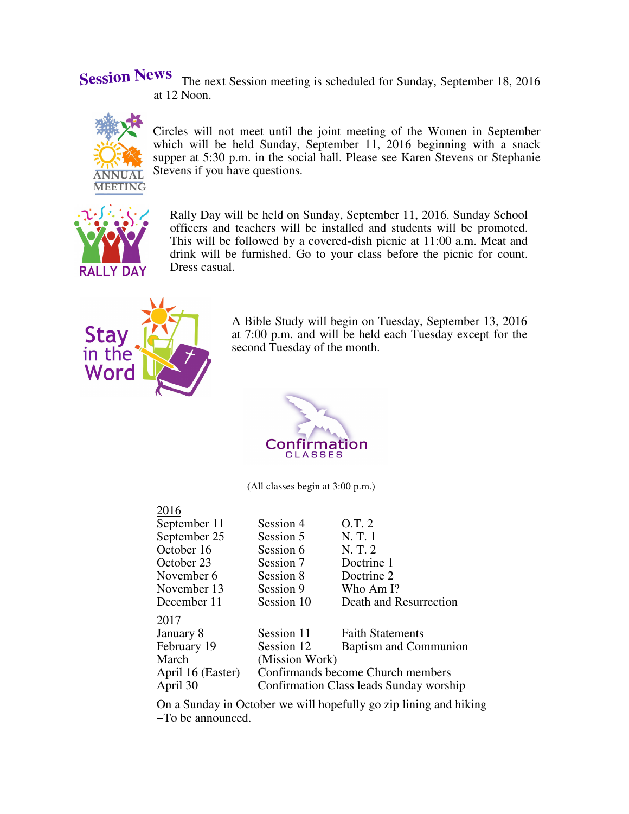**Session News** The next Session meeting is scheduled for Sunday, September 18, 2016 at 12 Noon.



Circles will not meet until the joint meeting of the Women in September which will be held Sunday, September 11, 2016 beginning with a snack supper at 5:30 p.m. in the social hall. Please see Karen Stevens or Stephanie Stevens if you have questions.



Rally Day will be held on Sunday, September 11, 2016. Sunday School officers and teachers will be installed and students will be promoted. This will be followed by a covered-dish picnic at 11:00 a.m. Meat and drink will be furnished. Go to your class before the picnic for count. Dress casual.



A Bible Study will begin on Tuesday, September 13, 2016 at 7:00 p.m. and will be held each Tuesday except for the second Tuesday of the month.



(All classes begin at 3:00 p.m.)

## 2016

| September 11      | Session 4                               | O.T. 2                       |  |
|-------------------|-----------------------------------------|------------------------------|--|
| September 25      | Session 5                               | N.T.1                        |  |
| October 16        | Session 6                               | N.T.2                        |  |
| October 23        | Session 7                               | Doctrine 1                   |  |
| November 6        | Session 8                               | Doctrine 2                   |  |
| November 13       | Session 9                               | Who Am I?                    |  |
| December 11       | Session 10                              | Death and Resurrection       |  |
| 2017              |                                         |                              |  |
| January 8         | Session 11                              | <b>Faith Statements</b>      |  |
| February 19       | Session 12                              | <b>Baptism and Communion</b> |  |
| March             | (Mission Work)                          |                              |  |
| April 16 (Easter) | Confirmands become Church members       |                              |  |
| April 30          | Confirmation Class leads Sunday worship |                              |  |

On a Sunday in October we will hopefully go zip lining and hiking −To be announced.